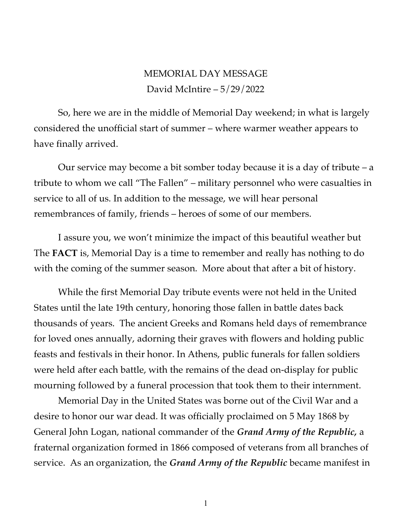## MEMORIAL DAY MESSAGE David McIntire – 5/29/2022

So, here we are in the middle of Memorial Day weekend; in what is largely considered the unofficial start of summer – where warmer weather appears to have finally arrived.

Our service may become a bit somber today because it is a day of tribute – a tribute to whom we call "The Fallen" – military personnel who were casualties in service to all of us. In addition to the message, we will hear personal remembrances of family, friends – heroes of some of our members.

I assure you, we won't minimize the impact of this beautiful weather but The **FACT** is, Memorial Day is a time to remember and really has nothing to do with the coming of the summer season. More about that after a bit of history.

While the first Memorial Day tribute events were not held in the United States until the late 19th century, honoring those fallen in battle dates back thousands of years. The ancient Greeks and Romans held days of remembrance for loved ones annually, adorning their graves with flowers and holding public feasts and festivals in their honor. In Athens, public funerals for fallen soldiers were held after each battle, with the remains of the dead on-display for public mourning followed by a funeral procession that took them to their internment.

Memorial Day in the United States was borne out of the Civil War and a desire to honor our war dead. It was officially proclaimed on 5 May 1868 by General John Logan, national commander of the *Grand Army of the Republic,* a fraternal organization formed in 1866 composed of veterans from all branches of service. As an organization, the *Grand Army of the Republic* became manifest in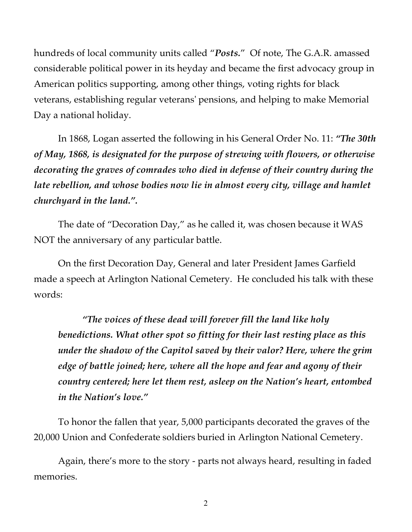hundreds of local community units called "*Posts.*" Of note, The G.A.R. amassed considerable political power in its heyday and became the first advocacy group in American politics supporting, among other things, voting rights for black veterans, establishing regular veterans' pensions, and helping to make Memorial Day a national holiday.

In 1868, Logan asserted the following in his General Order No. 11: *"The 30th of May, 1868, is designated for the purpose of strewing with flowers, or otherwise decorating the graves of comrades who died in defense of their country during the*  late rebellion, and whose bodies now lie in almost every city, village and hamlet *churchyard in the land.".* 

The date of "Decoration Day," as he called it, was chosen because it WAS NOT the anniversary of any particular battle.

On the first Decoration Day, General and later President James Garfield made a speech at Arlington National Cemetery. He concluded his talk with these words:

*"The voices of these dead will forever fill the land like holy benedictions. What other spot so fitting for their last resting place as this under the shadow of the Capitol saved by their valor? Here, where the grim edge of battle joined; here, where all the hope and fear and agony of their country centered; here let them rest, asleep on the Nation's heart, entombed in the Nation's love."* 

To honor the fallen that year, 5,000 participants decorated the graves of the 20,000 Union and Confederate soldiers buried in Arlington National Cemetery.

Again, there's more to the story - parts not always heard, resulting in faded memories.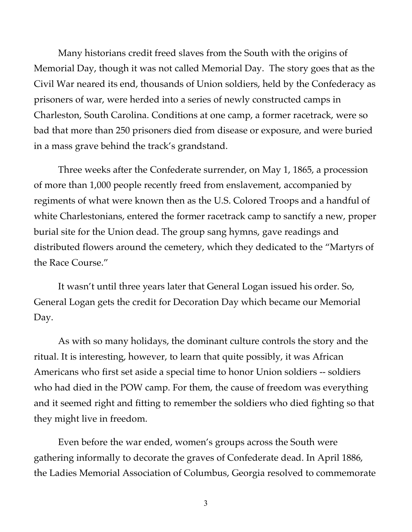Many historians credit freed slaves from the South with the origins of Memorial Day, though it was not called Memorial Day. The story goes that as the Civil War neared its end, thousands of Union soldiers, held by the Confederacy as prisoners of war, were herded into a series of newly constructed camps in Charleston, South Carolina. Conditions at one camp, a former racetrack, were so bad that more than 250 prisoners died from disease or exposure, and were buried in a mass grave behind the track's grandstand.

Three weeks after the Confederate surrender, on May 1, 1865, a procession of more than 1,000 people recently freed from enslavement, accompanied by regiments of what were known then as the U.S. Colored Troops and a handful of white Charlestonians, entered the former racetrack camp to sanctify a new, proper burial site for the Union dead. The group sang hymns, gave readings and distributed flowers around the cemetery, which they dedicated to the "Martyrs of the Race Course."

It wasn't until three years later that General Logan issued his order. So, General Logan gets the credit for Decoration Day which became our Memorial Day.

As with so many holidays, the dominant culture controls the story and the ritual. It is interesting, however, to learn that quite possibly, it was African Americans who first set aside a special time to honor Union soldiers -- soldiers who had died in the POW camp. For them, the cause of freedom was everything and it seemed right and fitting to remember the soldiers who died fighting so that they might live in freedom.

Even before the war ended, women's groups across the South were gathering informally to decorate the graves of Confederate dead. In April 1886, the Ladies Memorial Association of Columbus, Georgia resolved to commemorate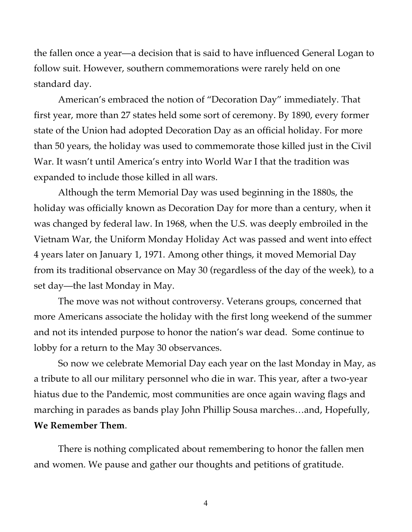the fallen once a year—a decision that is said to have influenced General Logan to follow suit. However, southern commemorations were rarely held on one standard day.

American's embraced the notion of "Decoration Day" immediately. That first year, more than 27 states held some sort of ceremony. By 1890, every former state of the Union had adopted Decoration Day as an official holiday. For more than 50 years, the holiday was used to commemorate those killed just in the Civil War. It wasn't until America's entry into World War I that the tradition was expanded to include those killed in all wars.

Although the term Memorial Day was used beginning in the 1880s, the holiday was officially known as Decoration Day for more than a century, when it was changed by federal law. In 1968, when the U.S. was deeply embroiled in the Vietnam War, the Uniform Monday Holiday Act was passed and went into effect 4 years later on January 1, 1971. Among other things, it moved Memorial Day from its traditional observance on May 30 (regardless of the day of the week), to a set day—the last Monday in May.

The move was not without controversy. Veterans groups, concerned that more Americans associate the holiday with the first long weekend of the summer and not its intended purpose to honor the nation's war dead. Some continue to lobby for a return to the May 30 observances.

So now we celebrate Memorial Day each year on the last Monday in May, as a tribute to all our military personnel who die in war. This year, after a two-year hiatus due to the Pandemic, most communities are once again waving flags and marching in parades as bands play John Phillip Sousa marches…and, Hopefully, **We Remember Them**.

There is nothing complicated about remembering to honor the fallen men and women. We pause and gather our thoughts and petitions of gratitude.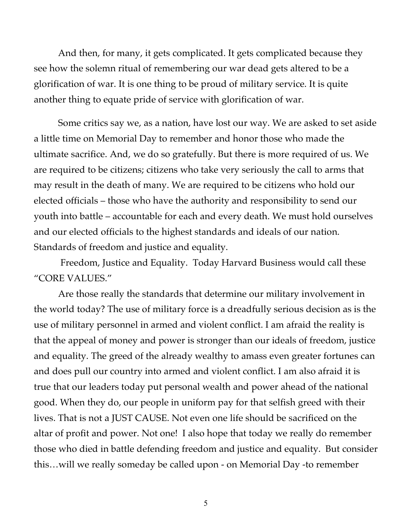And then, for many, it gets complicated. It gets complicated because they see how the solemn ritual of remembering our war dead gets altered to be a glorification of war. It is one thing to be proud of military service. It is quite another thing to equate pride of service with glorification of war.

Some critics say we, as a nation, have lost our way. We are asked to set aside a little time on Memorial Day to remember and honor those who made the ultimate sacrifice. And, we do so gratefully. But there is more required of us. We are required to be citizens; citizens who take very seriously the call to arms that may result in the death of many. We are required to be citizens who hold our elected officials – those who have the authority and responsibility to send our youth into battle – accountable for each and every death. We must hold ourselves and our elected officials to the highest standards and ideals of our nation. Standards of freedom and justice and equality.

Freedom, Justice and Equality. Today Harvard Business would call these "CORE VALUES."

Are those really the standards that determine our military involvement in the world today? The use of military force is a dreadfully serious decision as is the use of military personnel in armed and violent conflict. I am afraid the reality is that the appeal of money and power is stronger than our ideals of freedom, justice and equality. The greed of the already wealthy to amass even greater fortunes can and does pull our country into armed and violent conflict. I am also afraid it is true that our leaders today put personal wealth and power ahead of the national good. When they do, our people in uniform pay for that selfish greed with their lives. That is not a JUST CAUSE. Not even one life should be sacrificed on the altar of profit and power. Not one! I also hope that today we really do remember those who died in battle defending freedom and justice and equality. But consider this…will we really someday be called upon - on Memorial Day -to remember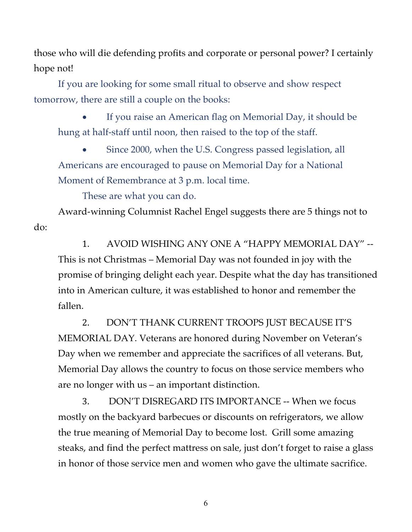those who will die defending profits and corporate or personal power? I certainly hope not!

If you are looking for some small ritual to observe and show respect tomorrow, there are still a couple on the books:

• If you raise an American flag on Memorial Day, it should be hung at half-staff until noon, then raised to the top of the staff.

• Since 2000, when the U.S. Congress passed legislation, all Americans are encouraged to pause on Memorial Day for a National Moment of Remembrance at 3 p.m. local time.

These are what you can do.

Award-winning Columnist Rachel Engel suggests there are 5 things not to do:

1. AVOID WISHING ANY ONE A "HAPPY MEMORIAL DAY" -- This is not Christmas – Memorial Day was not founded in joy with the promise of bringing delight each year. Despite what the day has transitioned into in American culture, it was established to honor and remember the fallen.

2. DON'T THANK CURRENT TROOPS JUST BECAUSE IT'S MEMORIAL DAY. Veterans are honored during November on Veteran's Day when we remember and appreciate the sacrifices of all veterans. But, Memorial Day allows the country to focus on those service members who are no longer with us – an important distinction.

3. DON'T DISREGARD ITS IMPORTANCE -- When we focus mostly on the backyard barbecues or discounts on refrigerators, we allow the true meaning of Memorial Day to become lost. Grill some amazing steaks, and find the perfect mattress on sale, just don't forget to raise a glass in honor of those service men and women who gave the ultimate sacrifice.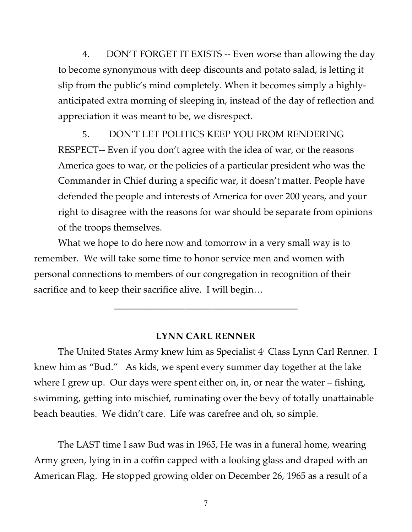4. DON'T FORGET IT EXISTS -- Even worse than allowing the day to become synonymous with deep discounts and potato salad, is letting it slip from the public's mind completely. When it becomes simply a highlyanticipated extra morning of sleeping in, instead of the day of reflection and appreciation it was meant to be, we disrespect.

5. DON'T LET POLITICS KEEP YOU FROM RENDERING RESPECT-- Even if you don't agree with the idea of war, or the reasons America goes to war, or the policies of a particular president who was the Commander in Chief during a specific war, it doesn't matter. People have defended the people and interests of America for over 200 years, and your right to disagree with the reasons for war should be separate from opinions of the troops themselves.

What we hope to do here now and tomorrow in a very small way is to remember. We will take some time to honor service men and women with personal connections to members of our congregation in recognition of their sacrifice and to keep their sacrifice alive. I will begin...

## **LYNN CARL RENNER**

**\_\_\_\_\_\_\_\_\_\_\_\_\_\_\_\_\_\_\_\_\_\_\_\_\_\_\_\_\_\_\_\_\_\_\_\_\_\_\_**

The United States Army knew him as Specialist  $4<sup>th</sup>$  Class Lynn Carl Renner. I knew him as "Bud." As kids, we spent every summer day together at the lake where I grew up. Our days were spent either on, in, or near the water – fishing, swimming, getting into mischief, ruminating over the bevy of totally unattainable beach beauties. We didn't care. Life was carefree and oh, so simple.

The LAST time I saw Bud was in 1965, He was in a funeral home, wearing Army green, lying in in a coffin capped with a looking glass and draped with an American Flag. He stopped growing older on December 26, 1965 as a result of a